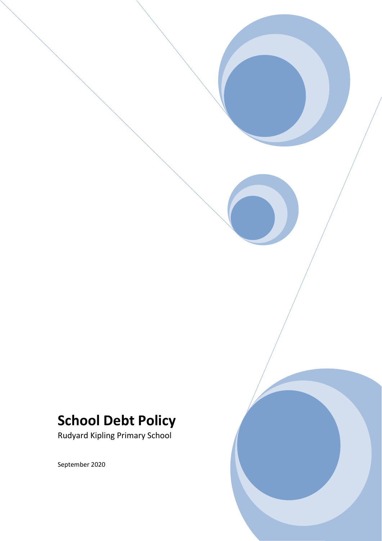# **School Debt Policy**

Rudyard Kipling Primary School

September 2020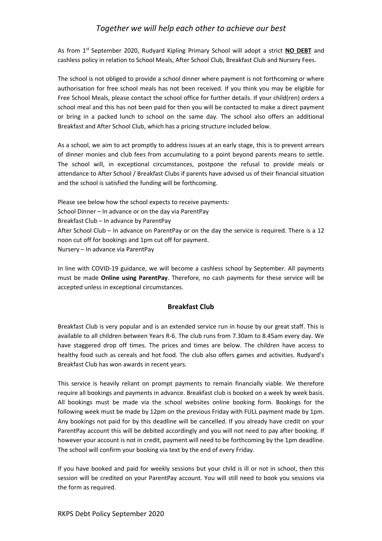# *Together we will help each other to achieve our best*

As from 1<sup>st</sup> September 2020, Rudyard Kipling Primary School will adopt a strict NO DEBT and cashless policy in relation to School Meals, After School Club, Breakfast Club and Nursery Fees.

The school is not obliged to provide a school dinner where payment is not forthcoming or where authorisation for free school meals has not been received. If you think you may be eligible for Free School Meals, please contact the school office for further details. If your child(ren) orders a school meal and this has not been paid for then you will be contacted to make a direct payment or bring in a packed lunch to school on the same day. The school also offers an additional Breakfast and After School Club, which has a pricing structure included below.

As a school, we aim to act promptly to address issues at an early stage, this is to prevent arrears of dinner monies and club fees from accumulating to a point beyond parents means to settle. The school will, in exceptional circumstances, postpone the refusal to provide meals or attendance to After School / Breakfast Clubs if parents have advised us of their financial situation and the school is satisfied the funding will be forthcoming.

Please see below how the school expects to receive payments: School Dinner – In advance or on the day via ParentPay Breakfast Club – In advance by ParentPay After School Club – In advance on ParentPay or on the day the service is required. There is a 12 noon cut off for bookings and 1pm cut off for payment. Nursery – In advance via ParentPay

In line with COVID-19 guidance, we will become a cashless school by September. All payments must be made **Online using ParentPay**. Therefore, no cash payments for these service will be accepted unless in exceptional circumstances.

# **Breakfast Club**

Breakfast Club is very popular and is an extended service run in house by our great staff. This is available to all children between Years R-6. The club runs from 7.30am to 8.45am every day. We have staggered drop off times. The prices and times are below. The children have access to healthy food such as cereals and hot food. The club also offers games and activities. Rudyard's Breakfast Club has won awards in recent years.

This service is heavily reliant on prompt payments to remain financially viable. We therefore require all bookings and payments in advance. Breakfast club is booked on a week by week basis. All bookings must be made via the school websites online booking form. Bookings for the following week must be made by 12pm on the previous Friday with FULL payment made by 1pm. Any bookings not paid for by this deadline will be cancelled. If you already have credit on your ParentPay account this will be debited accordingly and you will not need to pay after booking. If however your account is not in credit, payment will need to be forthcoming by the 1pm deadline. The school will confirm your booking via text by the end of every Friday.

If you have booked and paid for weekly sessions but your child is ill or not in school, then this session will be credited on your ParentPay account. You will still need to book you sessions via the form as required.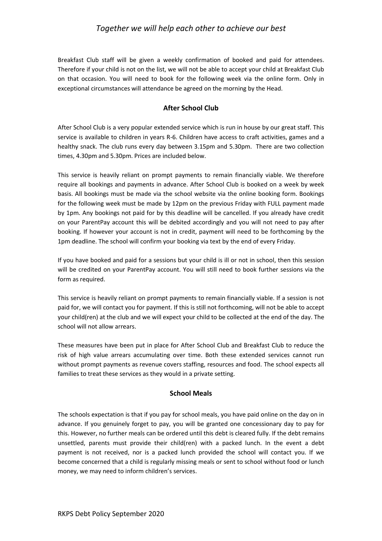# *Together we will help each other to achieve our best*

Breakfast Club staff will be given a weekly confirmation of booked and paid for attendees. Therefore if your child is not on the list, we will not be able to accept your child at Breakfast Club on that occasion. You will need to book for the following week via the online form. Only in exceptional circumstances will attendance be agreed on the morning by the Head.

# **After School Club**

After School Club is a very popular extended service which is run in house by our great staff. This service is available to children in years R-6. Children have access to craft activities, games and a healthy snack. The club runs every day between 3.15pm and 5.30pm. There are two collection times, 4.30pm and 5.30pm. Prices are included below.

This service is heavily reliant on prompt payments to remain financially viable. We therefore require all bookings and payments in advance. After School Club is booked on a week by week basis. All bookings must be made via the school website via the online booking form. Bookings for the following week must be made by 12pm on the previous Friday with FULL payment made by 1pm. Any bookings not paid for by this deadline will be cancelled. If you already have credit on your ParentPay account this will be debited accordingly and you will not need to pay after booking. If however your account is not in credit, payment will need to be forthcoming by the 1pm deadline. The school will confirm your booking via text by the end of every Friday.

If you have booked and paid for a sessions but your child is ill or not in school, then this session will be credited on your ParentPay account. You will still need to book further sessions via the form as required.

This service is heavily reliant on prompt payments to remain financially viable. If a session is not paid for, we will contact you for payment. If this is still not forthcoming, will not be able to accept your child(ren) at the club and we will expect your child to be collected at the end of the day. The school will not allow arrears.

These measures have been put in place for After School Club and Breakfast Club to reduce the risk of high value arrears accumulating over time. Both these extended services cannot run without prompt payments as revenue covers staffing, resources and food. The school expects all families to treat these services as they would in a private setting.

#### **School Meals**

The schools expectation is that if you pay for school meals, you have paid online on the day on in advance. If you genuinely forget to pay, you will be granted one concessionary day to pay for this. However, no further meals can be ordered until this debt is cleared fully. If the debt remains unsettled, parents must provide their child(ren) with a packed lunch. In the event a debt payment is not received, nor is a packed lunch provided the school will contact you. If we become concerned that a child is regularly missing meals or sent to school without food or lunch money, we may need to inform children's services.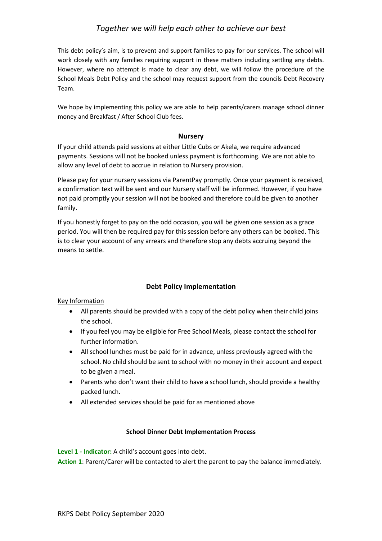This debt policy's aim, is to prevent and support families to pay for our services. The school will work closely with any families requiring support in these matters including settling any debts. However, where no attempt is made to clear any debt, we will follow the procedure of the School Meals Debt Policy and the school may request support from the councils Debt Recovery Team.

We hope by implementing this policy we are able to help parents/carers manage school dinner money and Breakfast / After School Club fees.

# **Nursery**

If your child attends paid sessions at either Little Cubs or Akela, we require advanced payments. Sessions will not be booked unless payment is forthcoming. We are not able to allow any level of debt to accrue in relation to Nursery provision.

Please pay for your nursery sessions via ParentPay promptly. Once your payment is received, a confirmation text will be sent and our Nursery staff will be informed. However, if you have not paid promptly your session will not be booked and therefore could be given to another family.

If you honestly forget to pay on the odd occasion, you will be given one session as a grace period. You will then be required pay for this session before any others can be booked. This is to clear your account of any arrears and therefore stop any debts accruing beyond the means to settle.

# **Debt Policy Implementation**

Key Information

- All parents should be provided with a copy of the debt policy when their child joins the school.
- If you feel you may be eligible for Free School Meals, please contact the school for further information.
- All school lunches must be paid for in advance, unless previously agreed with the school. No child should be sent to school with no money in their account and expect to be given a meal.
- Parents who don't want their child to have a school lunch, should provide a healthy packed lunch.
- All extended services should be paid for as mentioned above

# **School Dinner Debt Implementation Process**

**Level 1 - Indicator:** A child's account goes into debt.

**Action 1**: Parent/Carer will be contacted to alert the parent to pay the balance immediately.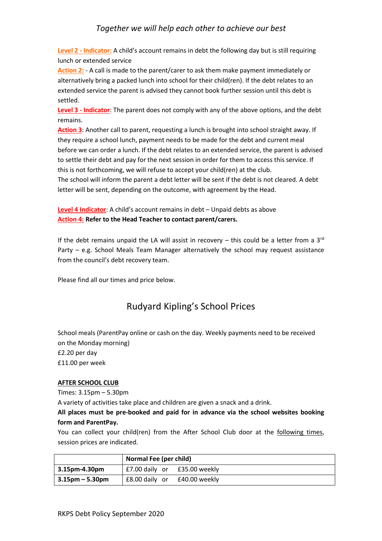# *Together we will help each other to achieve our best*

**Level 2 - Indicator:** A child's account remains in debt the following day but is still requiring lunch or extended service

**Action 2:** - A call is made to the parent/carer to ask them make payment immediately or alternatively bring a packed lunch into school for their child(ren). If the debt relates to an extended service the parent is advised they cannot book further session until this debt is settled.

**Level 3 - Indicator**: The parent does not comply with any of the above options, and the debt remains.

**Action 3**: Another call to parent, requesting a lunch is brought into school straight away. If they require a school lunch, payment needs to be made for the debt and current meal before we can order a lunch. If the debt relates to an extended service, the parent is advised to settle their debt and pay for the next session in order for them to access this service. If this is not forthcoming, we will refuse to accept your child(ren) at the club.

The school will inform the parent a debt letter will be sent if the debt is not cleared. A debt letter will be sent, depending on the outcome, with agreement by the Head.

**Level 4 Indicator**: A child's account remains in debt – Unpaid debts as above **Action 4: Refer to the Head Teacher to contact parent/carers.**

If the debt remains unpaid the LA will assist in recovery – this could be a letter from a  $3<sup>rd</sup>$ Party – e.g. School Meals Team Manager alternatively the school may request assistance from the council's debt recovery team.

Please find all our times and price below.

# Rudyard Kipling's School Prices

School meals (ParentPay online or cash on the day. Weekly payments need to be received on the Monday morning) £2.20 per day £11.00 per week

#### **AFTER SCHOOL CLUB**

Times: 3.15pm – 5.30pm

A variety of activities take place and children are given a snack and a drink.

**All places must be pre-booked and paid for in advance via the school websites booking form and ParentPay.** 

You can collect your child(ren) from the After School Club door at the following times, session prices are indicated.

|                    | Normal Fee (per child)       |  |
|--------------------|------------------------------|--|
| 3.15pm-4.30pm      | £7.00 daily or £35.00 weekly |  |
| $3.15$ pm – 5.30pm | £8.00 daily or £40.00 weekly |  |